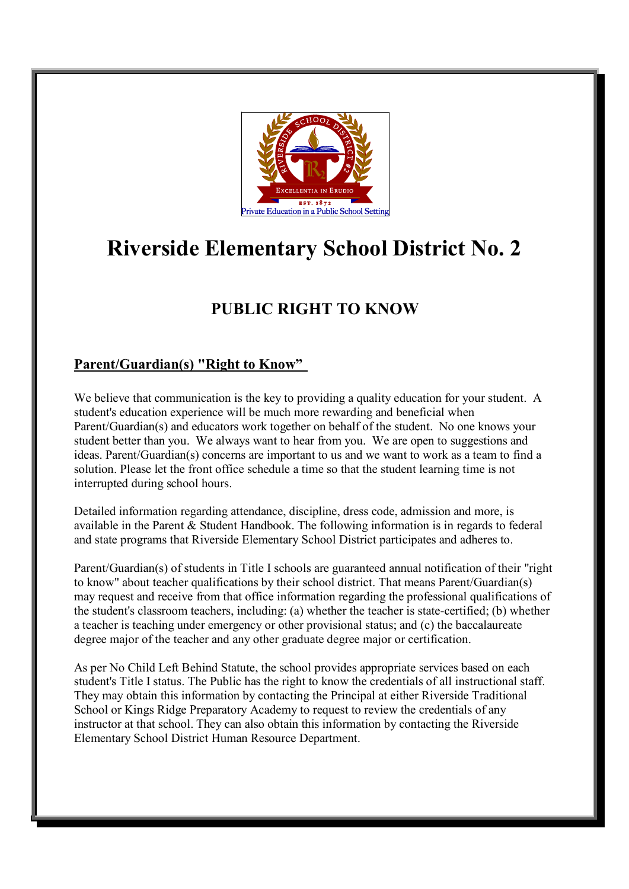

# **Riverside Elementary School District No. 2**

# **PUBLIC RIGHT TO KNOW**

## **Parent/Guardian(s) "Right to Know"**

We believe that communication is the key to providing a quality education for your student. A student's education experience will be much more rewarding and beneficial when Parent/Guardian(s) and educators work together on behalf of the student. No one knows your student better than you. We always want to hear from you. We are open to suggestions and ideas. Parent/Guardian(s) concerns are important to us and we want to work as a team to find a solution. Please let the front office schedule a time so that the student learning time is not interrupted during school hours.

Detailed information regarding attendance, discipline, dress code, admission and more, is available in the Parent & Student Handbook. The following information is in regards to federal and state programs that Riverside Elementary School District participates and adheres to.

Parent/Guardian(s) of students in Title I schools are guaranteed annual notification of their "right to know" about teacher qualifications by their school district. That means Parent/Guardian(s) may request and receive from that office information regarding the professional qualifications of the student's classroom teachers, including: (a) whether the teacher is state-certified; (b) whether a teacher is teaching under emergency or other provisional status; and (c) the baccalaureate degree major of the teacher and any other graduate degree major or certification.

As per No Child Left Behind Statute, the school provides appropriate services based on each student's Title I status. The Public has the right to know the credentials of all instructional staff. They may obtain this information by contacting the Principal at either Riverside Traditional School or Kings Ridge Preparatory Academy to request to review the credentials of any instructor at that school. They can also obtain this information by contacting the Riverside Elementary School District Human Resource Department.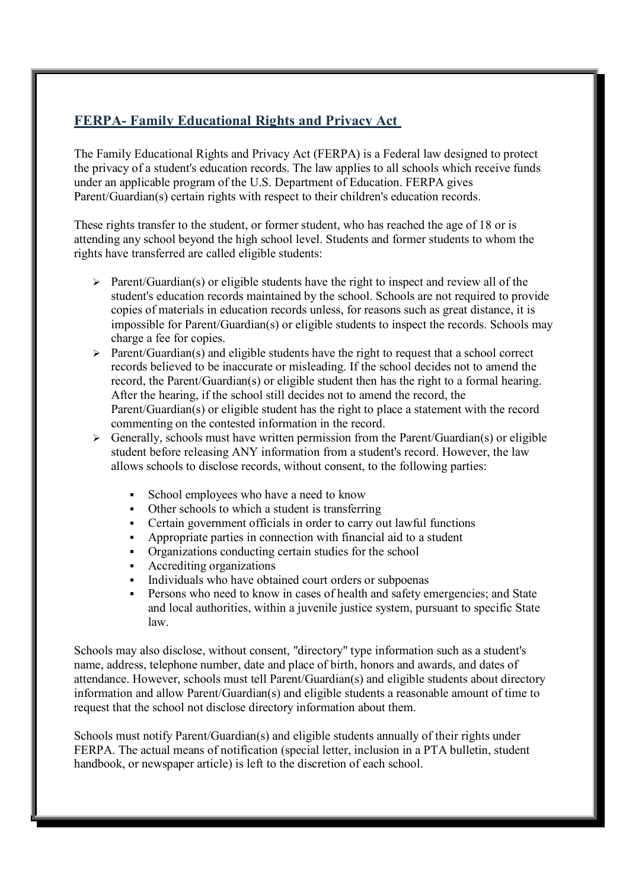#### **FERPA- Family Educational Rights and Privacy Act**

The Family Educational Rights and Privacy Act (FERPA) is a Federal law designed to protect the privacy of a student's education records. The law applies to all schools which receive funds under an applicable program of the U.S. Department of Education. FERPA gives Parent/Guardian(s) certain rights with respect to their children's education records.

These rights transfer to the student, or former student, who has reached the age of 18 or is attending any school beyond the high school level. Students and former students to whom the rights have transferred are called eligible students:

- $\triangleright$  Parent/Guardian(s) or eligible students have the right to inspect and review all of the student's education records maintained by the school. Schools are not required to provide copies of materials in education records unless, for reasons such as great distance, it is impossible for Parent/Guardian(s) or eligible students to inspect the records. Schools may charge a fee for copies.
- $\triangleright$  Parent/Guardian(s) and eligible students have the right to request that a school correct records believed to be inaccurate or misleading. If the school decides not to amend the record, the Parent/Guardian(s) or eligible student then has the right to a formal hearing. After the hearing, if the school still decides not to amend the record, the Parent/Guardian(s) or eligible student has the right to place a statement with the record commenting on the contested information in the record.
- $\triangleright$  Generally, schools must have written permission from the Parent/Guardian(s) or eligible student before releasing ANY information from a student's record. However, the law allows schools to disclose records, without consent, to the following parties:
	- School employees who have a need to know
	- Other schools to which a student is transferring
	- Certain government officials in order to carry out lawful functions
	- Appropriate parties in connection with financial aid to a student
	- Organizations conducting certain studies for the school
	- Accrediting organizations
	- Individuals who have obtained court orders or subpoenas
	- Persons who need to know in cases of health and safety emergencies; and State and local authorities, within a juvenile justice system, pursuant to specific State law.

Schools may also disclose, without consent, "directory" type information such as a student's name, address, telephone number, date and place of birth, honors and awards, and dates of attendance. However, schools must tell Parent/Guardian(s) and eligible students about directory information and allow Parent/Guardian(s) and eligible students a reasonable amount of time to request that the school not disclose directory information about them.

Schools must notify Parent/Guardian(s) and eligible students annually of their rights under FERPA. The actual means of notification (special letter, inclusion in a PTA bulletin, student handbook, or newspaper article) is left to the discretion of each school.